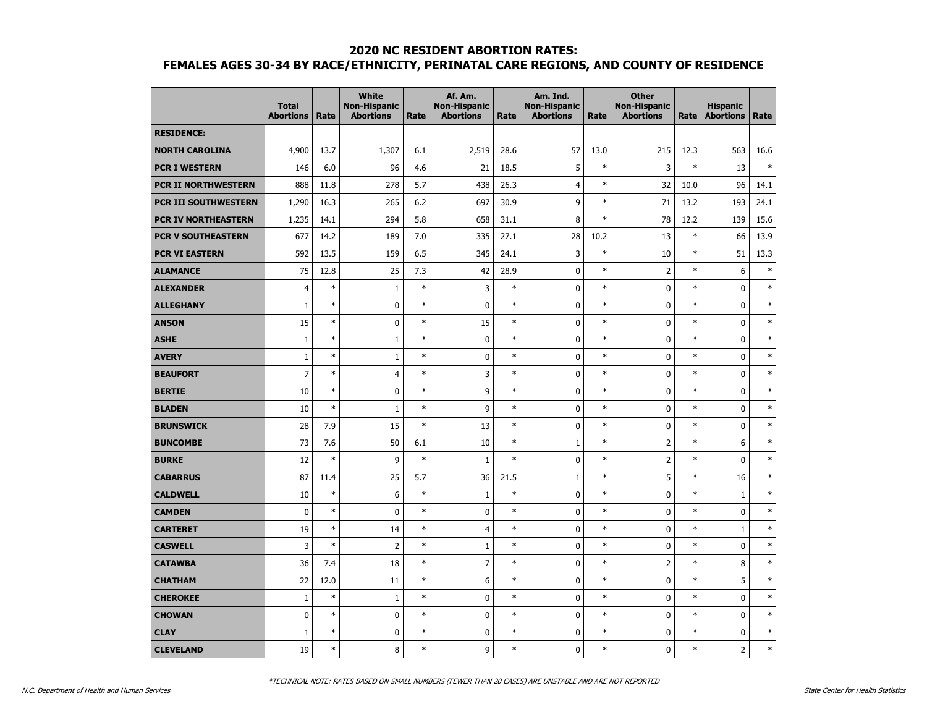|                            | <b>Total</b><br><b>Abortions</b> | Rate   | <b>White</b><br><b>Non-Hispanic</b><br><b>Abortions</b> | Rate   | Af. Am.<br><b>Non-Hispanic</b><br><b>Abortions</b> | Rate   | Am. Ind.<br><b>Non-Hispanic</b><br><b>Abortions</b> | Rate   | <b>Other</b><br><b>Non-Hispanic</b><br><b>Abortions</b> | Rate   | <b>Hispanic</b><br><b>Abortions</b> | Rate   |
|----------------------------|----------------------------------|--------|---------------------------------------------------------|--------|----------------------------------------------------|--------|-----------------------------------------------------|--------|---------------------------------------------------------|--------|-------------------------------------|--------|
| <b>RESIDENCE:</b>          |                                  |        |                                                         |        |                                                    |        |                                                     |        |                                                         |        |                                     |        |
| <b>NORTH CAROLINA</b>      | 4,900                            | 13.7   | 1,307                                                   | 6.1    | 2,519                                              | 28.6   | 57                                                  | 13.0   | 215                                                     | 12.3   | 563                                 | 16.6   |
| <b>PCR I WESTERN</b>       | 146                              | 6.0    | 96                                                      | 4.6    | 21                                                 | 18.5   | 5                                                   | $\ast$ | 3                                                       | $\ast$ | 13                                  | $\ast$ |
| <b>PCR II NORTHWESTERN</b> | 888                              | 11.8   | 278                                                     | 5.7    | 438                                                | 26.3   | $\overline{4}$                                      | $\ast$ | 32                                                      | 10.0   | 96                                  | 14.1   |
| PCR III SOUTHWESTERN       | 1,290                            | 16.3   | 265                                                     | 6.2    | 697                                                | 30.9   | 9                                                   | $\ast$ | 71                                                      | 13.2   | 193                                 | 24.1   |
| PCR IV NORTHEASTERN        | 1,235                            | 14.1   | 294                                                     | 5.8    | 658                                                | 31.1   | 8                                                   | $\ast$ | 78                                                      | 12.2   | 139                                 | 15.6   |
| <b>PCR V SOUTHEASTERN</b>  | 677                              | 14.2   | 189                                                     | 7.0    | 335                                                | 27.1   | 28                                                  | 10.2   | 13                                                      | $\ast$ | 66                                  | 13.9   |
| <b>PCR VI EASTERN</b>      | 592                              | 13.5   | 159                                                     | 6.5    | 345                                                | 24.1   | 3                                                   | $\ast$ | 10                                                      | $\ast$ | 51                                  | 13.3   |
| <b>ALAMANCE</b>            | 75                               | 12.8   | 25                                                      | 7.3    | 42                                                 | 28.9   | 0                                                   | $\ast$ | $\overline{2}$                                          | $\ast$ | 6                                   | $\ast$ |
| <b>ALEXANDER</b>           | $\overline{4}$                   | $\ast$ | $1\,$                                                   | $\ast$ | 3                                                  | $\ast$ | 0                                                   | $\ast$ | 0                                                       | $\ast$ | $\mathbf 0$                         | $\ast$ |
| <b>ALLEGHANY</b>           | $\mathbf{1}$                     | $\ast$ | 0                                                       | $\ast$ | $\mathbf 0$                                        | $\ast$ | 0                                                   | $\ast$ | 0                                                       | $\ast$ | $\mathbf 0$                         | $\ast$ |
| <b>ANSON</b>               | 15                               | $\ast$ | 0                                                       | $\ast$ | 15                                                 | $\ast$ | 0                                                   | $\ast$ | 0                                                       | $\ast$ | $\mathbf 0$                         | $\ast$ |
| <b>ASHE</b>                | $\mathbf{1}$                     | $\ast$ | $\mathbf{1}$                                            | $\ast$ | $\mathbf 0$                                        | $\ast$ | 0                                                   | $\ast$ | 0                                                       | $\ast$ | $\mathbf 0$                         | $\ast$ |
| <b>AVERY</b>               | $\mathbf{1}$                     | $\ast$ | $\mathbf{1}$                                            | $\ast$ | 0                                                  | $\ast$ | 0                                                   | $\ast$ | $\mathbf 0$                                             | $\ast$ | $\mathbf 0$                         | $\ast$ |
| <b>BEAUFORT</b>            | $\overline{7}$                   | $\ast$ | $\overline{4}$                                          | $\ast$ | 3                                                  | $\ast$ | 0                                                   | $\ast$ | $\mathbf 0$                                             | $\ast$ | $\mathbf 0$                         | $\ast$ |
| <b>BERTIE</b>              | 10                               | $\ast$ | 0                                                       | $\ast$ | 9                                                  | $\ast$ | $\mathbf 0$                                         | $\ast$ | $\mathbf 0$                                             | $\ast$ | $\mathbf 0$                         | $\ast$ |
| <b>BLADEN</b>              | 10                               | $\ast$ | $\mathbf{1}$                                            | $\ast$ | 9                                                  | $\ast$ | 0                                                   | $\ast$ | 0                                                       | $\ast$ | $\mathbf 0$                         | $\ast$ |
| <b>BRUNSWICK</b>           | 28                               | 7.9    | 15                                                      | $\ast$ | 13                                                 | $\ast$ | 0                                                   | $\ast$ | 0                                                       | $\ast$ | $\mathbf 0$                         | $\ast$ |
| <b>BUNCOMBE</b>            | 73                               | 7.6    | 50                                                      | 6.1    | 10                                                 | $\ast$ | $\mathbf{1}$                                        | $\ast$ | $\overline{2}$                                          | $\ast$ | 6                                   | $\ast$ |
| <b>BURKE</b>               | 12                               | $\ast$ | 9                                                       | $\ast$ | $1\,$                                              | $\ast$ | $\mathbf 0$                                         | $\ast$ | $\overline{2}$                                          | $\ast$ | $\pmb{0}$                           | $\ast$ |
| <b>CABARRUS</b>            | 87                               | 11.4   | 25                                                      | 5.7    | 36                                                 | 21.5   | $\mathbf{1}$                                        | $\ast$ | 5                                                       | $\ast$ | 16                                  | $\ast$ |
| <b>CALDWELL</b>            | 10                               | $\ast$ | 6                                                       | $\ast$ | $\mathbf{1}$                                       | $\ast$ | $\mathbf 0$                                         | $\ast$ | 0                                                       | $\ast$ | $\mathbf{1}$                        | $\ast$ |
| <b>CAMDEN</b>              | $\mathbf 0$                      | $\ast$ | 0                                                       | $\ast$ | $\mathbf 0$                                        | $\ast$ | 0                                                   | $\ast$ | $\mathbf 0$                                             | $\ast$ | $\mathbf 0$                         | $\ast$ |
| <b>CARTERET</b>            | 19                               | $\ast$ | 14                                                      | $\ast$ | $\overline{4}$                                     | $\ast$ | 0                                                   | $\ast$ | $\mathbf 0$                                             | $\ast$ | $\mathbf{1}$                        | $\ast$ |
| <b>CASWELL</b>             | 3                                | $\ast$ | $\overline{2}$                                          | $\ast$ | $\mathbf{1}$                                       | $\ast$ | 0                                                   | $\ast$ | 0                                                       | $\ast$ | $\pmb{0}$                           | $\ast$ |
| <b>CATAWBA</b>             | 36                               | 7.4    | 18                                                      | $\ast$ | $\overline{7}$                                     | $\ast$ | 0                                                   | $\ast$ | $\overline{2}$                                          | $\ast$ | 8                                   | $\ast$ |
| <b>CHATHAM</b>             | 22                               | 12.0   | 11                                                      | $\ast$ | 6                                                  | $\ast$ | 0                                                   | $\ast$ | 0                                                       | *      | 5                                   | $\ast$ |
| <b>CHEROKEE</b>            | $\mathbf{1}$                     | $\ast$ | $\mathbf{1}$                                            | $\ast$ | $\mathbf 0$                                        | $\ast$ | 0                                                   | $\ast$ | $\mathbf 0$                                             | $\ast$ | $\mathbf 0$                         | $\ast$ |
| <b>CHOWAN</b>              | $\mathbf 0$                      | $\ast$ | 0                                                       | $\ast$ | $\pmb{0}$                                          | $\ast$ | 0                                                   | $\ast$ | 0                                                       | $\ast$ | $\pmb{0}$                           | $\ast$ |
| <b>CLAY</b>                | 1                                | $\ast$ | 0                                                       | $\ast$ | $\pmb{0}$                                          | $\ast$ | 0                                                   | $\ast$ | 0                                                       | $\ast$ | $\mathbf 0$                         | $\ast$ |
| <b>CLEVELAND</b>           | 19                               | $\ast$ | 8                                                       | $\ast$ | 9                                                  | $\ast$ | $\mathbf{0}$                                        | $\ast$ | 0                                                       | $\ast$ | $\overline{2}$                      | $\ast$ |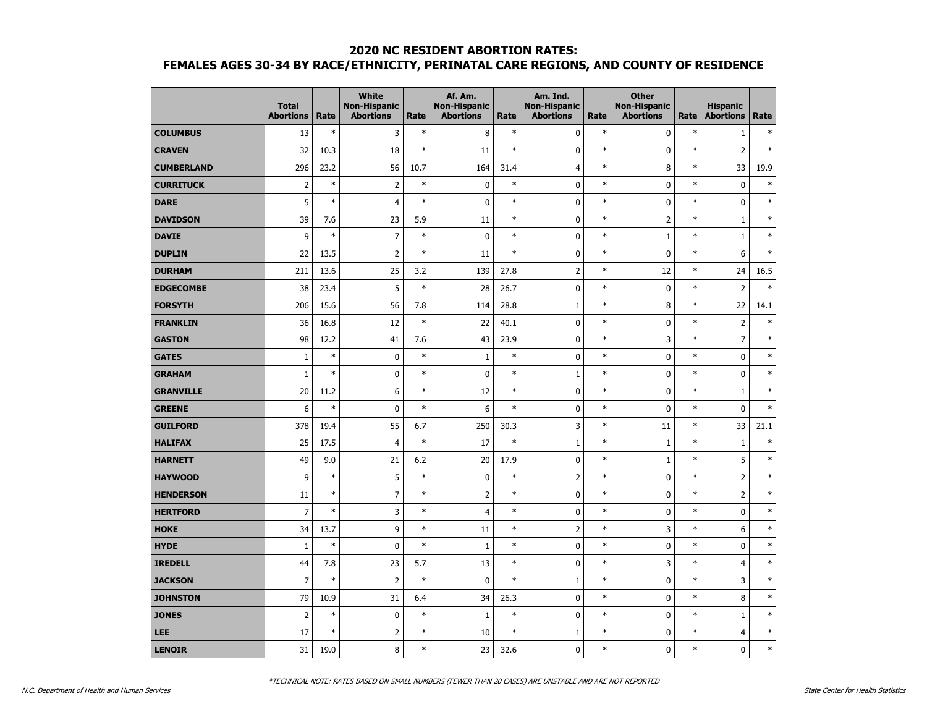|                   | <b>Total</b><br><b>Abortions</b> | Rate   | <b>White</b><br><b>Non-Hispanic</b><br><b>Abortions</b> | Rate   | Af. Am.<br><b>Non-Hispanic</b><br><b>Abortions</b> | Rate   | Am. Ind.<br><b>Non-Hispanic</b><br><b>Abortions</b> | Rate   | <b>Other</b><br><b>Non-Hispanic</b><br><b>Abortions</b> | Rate   | <b>Hispanic</b><br><b>Abortions</b> | Rate   |
|-------------------|----------------------------------|--------|---------------------------------------------------------|--------|----------------------------------------------------|--------|-----------------------------------------------------|--------|---------------------------------------------------------|--------|-------------------------------------|--------|
| <b>COLUMBUS</b>   | 13                               | $\ast$ | 3                                                       | $\ast$ | 8                                                  | $\ast$ | $\mathbf 0$                                         | $\ast$ | $\mathbf 0$                                             | $\ast$ | $\mathbf{1}$                        | $\ast$ |
| <b>CRAVEN</b>     | 32                               | 10.3   | 18                                                      | $\ast$ | 11                                                 | $\ast$ | $\mathbf 0$                                         | $\ast$ | $\mathbf 0$                                             | $\ast$ | $\overline{2}$                      | $\ast$ |
| <b>CUMBERLAND</b> | 296                              | 23.2   | 56                                                      | 10.7   | 164                                                | 31.4   | $\overline{4}$                                      | $\ast$ | 8                                                       | $\ast$ | 33                                  | 19.9   |
| <b>CURRITUCK</b>  | $\overline{2}$                   | $\ast$ | $\overline{2}$                                          | $\ast$ | $\pmb{0}$                                          | $\ast$ | 0                                                   | $\ast$ | 0                                                       | $\ast$ | $\pmb{0}$                           | $\ast$ |
| <b>DARE</b>       | 5                                | $\ast$ | $\overline{4}$                                          | $\ast$ | $\pmb{0}$                                          | $\ast$ | 0                                                   | $\ast$ | 0                                                       | $\ast$ | $\pmb{0}$                           | $\ast$ |
| <b>DAVIDSON</b>   | 39                               | 7.6    | 23                                                      | 5.9    | 11                                                 | $\ast$ | $\mathbf 0$                                         | $\ast$ | $\overline{2}$                                          | $\ast$ | $1\,$                               | $\ast$ |
| <b>DAVIE</b>      | 9                                | $\ast$ | $\overline{7}$                                          | $\ast$ | $\pmb{0}$                                          | $\ast$ | $\mathbf 0$                                         | $\ast$ | $\mathbf{1}$                                            | $\ast$ | $1\,$                               | $\ast$ |
| <b>DUPLIN</b>     | 22                               | 13.5   | $\overline{2}$                                          | $\ast$ | 11                                                 | $\ast$ | 0                                                   | $\ast$ | $\mathbf 0$                                             | $\ast$ | 6                                   | $\ast$ |
| <b>DURHAM</b>     | 211                              | 13.6   | 25                                                      | 3.2    | 139                                                | 27.8   | $\overline{2}$                                      | $\ast$ | 12                                                      | $\ast$ | 24                                  | 16.5   |
| <b>EDGECOMBE</b>  | 38                               | 23.4   | 5                                                       | $\ast$ | 28                                                 | 26.7   | 0                                                   | $\ast$ | 0                                                       | $\ast$ | $\overline{2}$                      | $\ast$ |
| <b>FORSYTH</b>    | 206                              | 15.6   | 56                                                      | 7.8    | 114                                                | 28.8   | $\mathbf 1$                                         | $\ast$ | 8                                                       | $\ast$ | 22                                  | 14.1   |
| <b>FRANKLIN</b>   | 36                               | 16.8   | 12                                                      | $\ast$ | 22                                                 | 40.1   | 0                                                   | $\ast$ | 0                                                       | $\ast$ | $\mathbf 2$                         | $\ast$ |
| <b>GASTON</b>     | 98                               | 12.2   | 41                                                      | 7.6    | 43                                                 | 23.9   | 0                                                   | $\ast$ | 3                                                       | $\ast$ | $\overline{7}$                      | $\ast$ |
| <b>GATES</b>      | $\mathbf{1}$                     | $\ast$ | $\mathbf 0$                                             | $\ast$ | $\mathbf{1}$                                       | $\ast$ | 0                                                   | $\ast$ | 0                                                       | $\ast$ | 0                                   | $\ast$ |
| <b>GRAHAM</b>     | $\mathbf{1}$                     | $\ast$ | 0                                                       | $\ast$ | $\pmb{0}$                                          | $\ast$ | $1\,$                                               | $\ast$ | $\mathbf 0$                                             | $\ast$ | $\pmb{0}$                           | $\ast$ |
| <b>GRANVILLE</b>  | 20                               | 11.2   | 6                                                       | $\ast$ | 12                                                 | $\ast$ | $\mathbf 0$                                         | $\ast$ | $\mathbf 0$                                             | $\ast$ | $1\,$                               | $\ast$ |
| <b>GREENE</b>     | 6                                | $\ast$ | 0                                                       | $\ast$ | 6                                                  | $\ast$ | 0                                                   | $\ast$ | 0                                                       | $\ast$ | $\mathbf 0$                         | $\ast$ |
| <b>GUILFORD</b>   | 378                              | 19.4   | 55                                                      | 6.7    | 250                                                | 30.3   | 3                                                   | $\ast$ | 11                                                      | $\ast$ | 33                                  | 21.1   |
| <b>HALIFAX</b>    | 25                               | 17.5   | $\overline{4}$                                          | $\ast$ | 17                                                 | $\ast$ | $\mathbf{1}$                                        | $\ast$ | $\mathbf{1}$                                            | $\ast$ | $1\,$                               | $\ast$ |
| <b>HARNETT</b>    | 49                               | 9.0    | 21                                                      | 6.2    | 20                                                 | 17.9   | $\mathbf 0$                                         | $\ast$ | $\mathbf{1}$                                            | $\ast$ | 5                                   | $\ast$ |
| <b>HAYWOOD</b>    | 9                                | $\ast$ | 5                                                       | $\ast$ | $\pmb{0}$                                          | $\ast$ | $\overline{2}$                                      | $\ast$ | $\mathbf 0$                                             | $\ast$ | $\overline{2}$                      | $\ast$ |
| <b>HENDERSON</b>  | 11                               | $\ast$ | $\overline{7}$                                          | $\ast$ | $\overline{2}$                                     | $\ast$ | 0                                                   | $\ast$ | 0                                                       | $\ast$ | $\overline{2}$                      | $\ast$ |
| <b>HERTFORD</b>   | $\overline{7}$                   | $\ast$ | 3                                                       | $\ast$ | $\overline{4}$                                     | $\ast$ | 0                                                   | $\ast$ | 0                                                       | $\ast$ | 0                                   | $\ast$ |
| <b>HOKE</b>       | 34                               | 13.7   | 9                                                       | $\ast$ | 11                                                 | $\ast$ | $\overline{2}$                                      | $\ast$ | 3                                                       | $\ast$ | 6                                   | $\ast$ |
| <b>HYDE</b>       | $\mathbf{1}$                     | $\ast$ | 0                                                       | $\ast$ | $\mathbf 1$                                        | $\ast$ | 0                                                   | $\ast$ | 0                                                       | $\ast$ | 0                                   | $\ast$ |
| <b>IREDELL</b>    | 44                               | 7.8    | 23                                                      | 5.7    | 13                                                 | $\ast$ | $\mathbf 0$                                         | $\ast$ | 3                                                       | $\ast$ | $\overline{4}$                      | $\ast$ |
| <b>JACKSON</b>    | $\overline{7}$                   | $\ast$ | $\overline{2}$                                          | $\ast$ | $\mathbf 0$                                        | $\ast$ | $\mathbf{1}$                                        | $\ast$ | 0                                                       | $\ast$ | 3                                   | $\ast$ |
| <b>JOHNSTON</b>   | 79                               | 10.9   | 31                                                      | 6.4    | 34                                                 | 26.3   | 0                                                   | $\ast$ | 0                                                       | $\ast$ | 8                                   | $\ast$ |
| <b>JONES</b>      | $\overline{2}$                   | $\ast$ | 0                                                       | $\ast$ | $1\,$                                              | $\ast$ | 0                                                   | $\ast$ | 0                                                       | $\ast$ | $1\,$                               | $\ast$ |
| LEE               | 17                               | $\ast$ | $\overline{2}$                                          | $\ast$ | 10                                                 | $\ast$ | $\mathbf{1}$                                        | $\ast$ | $\mathbf 0$                                             | $\ast$ | $\overline{4}$                      | $\ast$ |
| <b>LENOIR</b>     | 31                               | 19.0   | 8                                                       | $\ast$ | 23                                                 | 32.6   | 0                                                   | $\ast$ | 0                                                       | $\ast$ | 0                                   | $\ast$ |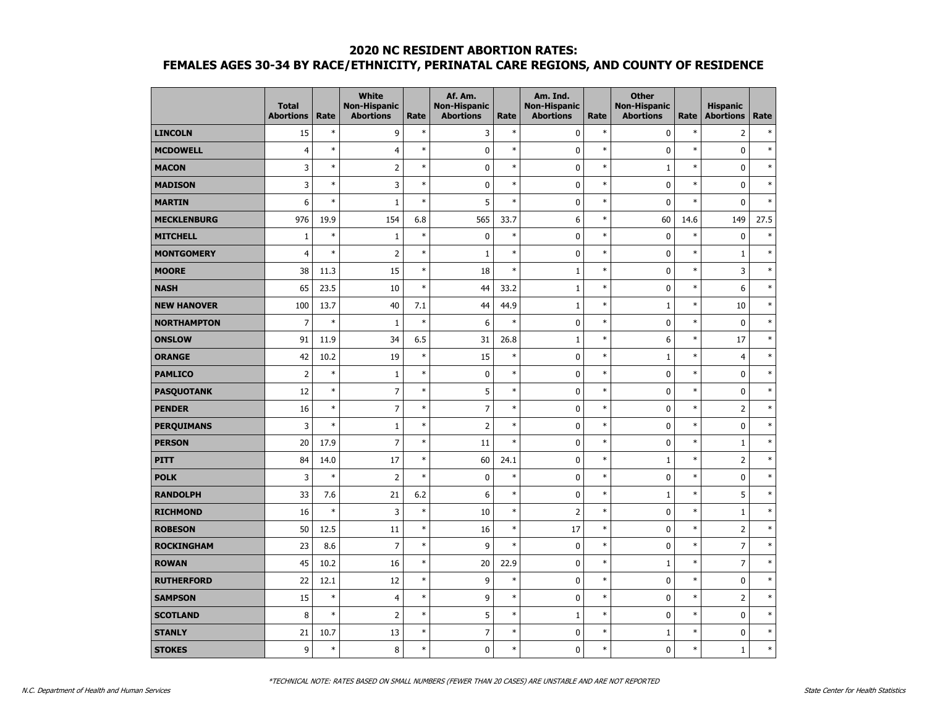|                    | <b>Total</b><br><b>Abortions</b> | Rate   | <b>White</b><br><b>Non-Hispanic</b><br><b>Abortions</b> | Rate   | Af. Am.<br><b>Non-Hispanic</b><br><b>Abortions</b> | Rate   | Am. Ind.<br><b>Non-Hispanic</b><br><b>Abortions</b> | Rate   | <b>Other</b><br><b>Non-Hispanic</b><br><b>Abortions</b> | Rate   | <b>Hispanic</b><br><b>Abortions</b> | Rate   |
|--------------------|----------------------------------|--------|---------------------------------------------------------|--------|----------------------------------------------------|--------|-----------------------------------------------------|--------|---------------------------------------------------------|--------|-------------------------------------|--------|
| <b>LINCOLN</b>     | 15                               | $\ast$ | 9                                                       | $\ast$ | 3                                                  | $\ast$ | 0                                                   | $\ast$ | 0                                                       | $\ast$ | $\overline{2}$                      | $\ast$ |
| <b>MCDOWELL</b>    | $\overline{4}$                   | $\ast$ | $\overline{4}$                                          | $\ast$ | $\mathbf 0$                                        | $\ast$ | 0                                                   | $\ast$ | $\mathbf 0$                                             | $\ast$ | $\mathbf 0$                         | $\ast$ |
| <b>MACON</b>       | 3                                | $\ast$ | $\overline{2}$                                          | $\ast$ | $\pmb{0}$                                          | $\ast$ | 0                                                   | $\ast$ | $\mathbf{1}$                                            | $\ast$ | $\mathbf 0$                         | $\ast$ |
| <b>MADISON</b>     | 3                                | $\ast$ | 3                                                       | $\ast$ | $\pmb{0}$                                          | $\ast$ | $\mathbf 0$                                         | $\ast$ | $\mathbf 0$                                             | $\ast$ | $\mathbf 0$                         | $\ast$ |
| <b>MARTIN</b>      | 6                                | $\ast$ | $\mathbf 1$                                             | $\ast$ | 5                                                  | $\ast$ | 0                                                   | $\ast$ | 0                                                       | $\ast$ | $\mathbf 0$                         | $\ast$ |
| <b>MECKLENBURG</b> | 976                              | 19.9   | 154                                                     | 6.8    | 565                                                | 33.7   | 6                                                   | $\ast$ | 60                                                      | 14.6   | 149                                 | 27.5   |
| <b>MITCHELL</b>    | $\mathbf{1}$                     | $\ast$ | $\mathbf{1}$                                            | $\ast$ | $\pmb{0}$                                          | $\ast$ | $\mathbf 0$                                         | $\ast$ | 0                                                       | $\ast$ | $\pmb{0}$                           | $\ast$ |
| <b>MONTGOMERY</b>  | $\overline{4}$                   | $\ast$ | $\overline{2}$                                          | $\ast$ | $\mathbf{1}$                                       | $\ast$ | $\mathbf 0$                                         | $\ast$ | 0                                                       | $\ast$ | $1\,$                               | $\ast$ |
| <b>MOORE</b>       | 38                               | 11.3   | 15                                                      | $\ast$ | 18                                                 | $\ast$ | $\mathbf{1}$                                        | $\ast$ | 0                                                       | $\ast$ | 3                                   | $\ast$ |
| <b>NASH</b>        | 65                               | 23.5   | 10                                                      | $\ast$ | 44                                                 | 33.2   | $1\,$                                               | $\ast$ | 0                                                       | $\ast$ | 6                                   | $\ast$ |
| <b>NEW HANOVER</b> | 100                              | 13.7   | 40                                                      | 7.1    | 44                                                 | 44.9   | $\mathbf 1$                                         | $\ast$ | $\mathbf{1}$                                            | $\ast$ | 10                                  | $\ast$ |
| <b>NORTHAMPTON</b> | $\overline{7}$                   | $\ast$ | $\mathbf{1}$                                            | $\ast$ | 6                                                  | $\ast$ | $\mathbf 0$                                         | $\ast$ | $\mathbf 0$                                             | $\ast$ | $\mathbf 0$                         | $\ast$ |
| <b>ONSLOW</b>      | 91                               | 11.9   | 34                                                      | 6.5    | 31                                                 | 26.8   | $\mathbf{1}$                                        | $\ast$ | 6                                                       | $\ast$ | 17                                  | $\ast$ |
| <b>ORANGE</b>      | 42                               | 10.2   | 19                                                      | $\ast$ | 15                                                 | $\ast$ | $\mathbf 0$                                         | $\ast$ | $\mathbf{1}$                                            | $\ast$ | $\overline{4}$                      | $\ast$ |
| <b>PAMLICO</b>     | $\overline{2}$                   | $\ast$ | $\mathbf 1$                                             | $\ast$ | $\pmb{0}$                                          | $\ast$ | 0                                                   | $\ast$ | $\mathbf 0$                                             | $\ast$ | $\pmb{0}$                           | $\ast$ |
| <b>PASQUOTANK</b>  | 12                               | $\ast$ | $\overline{7}$                                          | $\ast$ | 5                                                  | $\ast$ | $\mathbf 0$                                         | $\ast$ | $\mathbf 0$                                             | $\ast$ | $\pmb{0}$                           | $\ast$ |
| <b>PENDER</b>      | 16                               | $\ast$ | $\overline{7}$                                          | $\ast$ | $\overline{7}$                                     | $\ast$ | 0                                                   | $\ast$ | 0                                                       | $\ast$ | $\overline{2}$                      | $\ast$ |
| <b>PERQUIMANS</b>  | 3                                | $\ast$ | $\mathbf{1}$                                            | $\ast$ | $\overline{2}$                                     | $\ast$ | $\mathbf 0$                                         | $\ast$ | $\mathbf 0$                                             | $\ast$ | $\mathbf 0$                         | $\ast$ |
| <b>PERSON</b>      | 20                               | 17.9   | $\overline{7}$                                          | $\ast$ | 11                                                 | $\ast$ | 0                                                   | $\ast$ | $\mathbf 0$                                             | $\ast$ | $\mathbf{1}$                        | $\ast$ |
| <b>PITT</b>        | 84                               | 14.0   | 17                                                      | $\ast$ | 60                                                 | 24.1   | $\mathbf 0$                                         | $\ast$ | $\mathbf{1}$                                            | $\ast$ | $\mathbf 2$                         | $\ast$ |
| <b>POLK</b>        | 3                                | $\ast$ | $\overline{2}$                                          | $\ast$ | 0                                                  | $\ast$ | 0                                                   | $\ast$ | 0                                                       | $\ast$ | 0                                   | $\ast$ |
| <b>RANDOLPH</b>    | 33                               | 7.6    | 21                                                      | 6.2    | 6                                                  | $\ast$ | $\mathbf 0$                                         | $\ast$ | $\mathbf{1}$                                            | $\ast$ | 5                                   | $\ast$ |
| <b>RICHMOND</b>    | 16                               | $\ast$ | 3                                                       | $\ast$ | 10                                                 | $\ast$ | $\overline{2}$                                      | $\ast$ | $\mathbf 0$                                             | $\ast$ | $\mathbf{1}$                        | $\ast$ |
| <b>ROBESON</b>     | 50                               | 12.5   | 11                                                      | $\ast$ | 16                                                 | $\ast$ | 17                                                  | $\ast$ | $\mathbf 0$                                             | $\ast$ | $\overline{2}$                      | $\ast$ |
| <b>ROCKINGHAM</b>  | 23                               | 8.6    | $\overline{7}$                                          | $\ast$ | 9                                                  | $\ast$ | 0                                                   | $\ast$ | 0                                                       | $\ast$ | $\overline{7}$                      | $\ast$ |
| <b>ROWAN</b>       | 45                               | 10.2   | 16                                                      | $\ast$ | 20                                                 | 22.9   | 0                                                   | $\ast$ | $\mathbf{1}$                                            | $\ast$ | $\overline{7}$                      | $\ast$ |
| <b>RUTHERFORD</b>  | 22                               | 12.1   | 12                                                      | $\ast$ | 9                                                  | $\ast$ | 0                                                   | $\ast$ | $\mathbf 0$                                             | $\ast$ | $\mathbf 0$                         | $\ast$ |
| <b>SAMPSON</b>     | 15                               | $\ast$ | $\overline{4}$                                          | $\ast$ | 9                                                  | $\ast$ | $\mathbf 0$                                         | $\ast$ | $\mathbf 0$                                             | $\ast$ | $\overline{2}$                      | $\ast$ |
| <b>SCOTLAND</b>    | 8                                | $\ast$ | $\overline{2}$                                          | $\ast$ | 5                                                  | $\ast$ | $\mathbf{1}$                                        | $\ast$ | 0                                                       | $\ast$ | $\pmb{0}$                           | $\ast$ |
| <b>STANLY</b>      | 21                               | 10.7   | 13                                                      | $\ast$ | $\overline{7}$                                     | $\ast$ | 0                                                   | $\ast$ | 1                                                       | $\ast$ | $\pmb{0}$                           | $\ast$ |
| <b>STOKES</b>      | 9                                | $\ast$ | 8                                                       | $\ast$ | $\mathbf 0$                                        | $\ast$ | 0                                                   | $\ast$ | 0                                                       | $\ast$ | $\mathbf{1}$                        | $\ast$ |